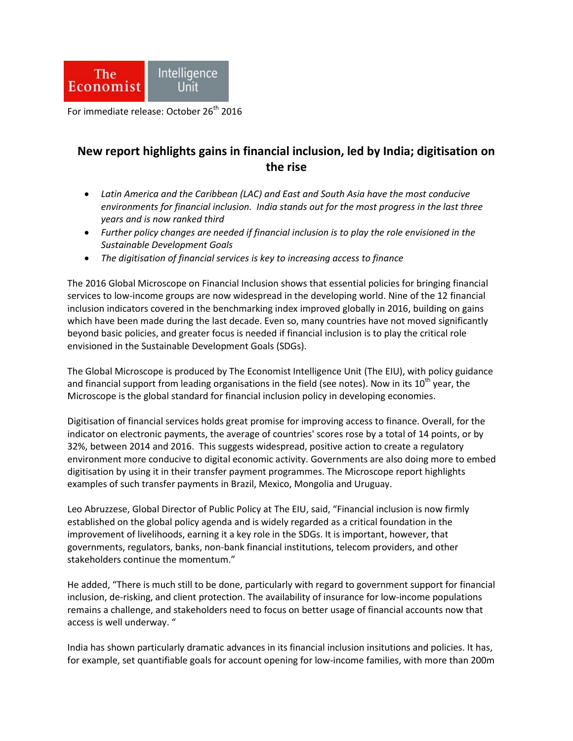

For immediate release: October 26<sup>th</sup> 2016

# **New report highlights gains in financial inclusion, led by India; digitisation on the rise**

- *Latin America and the Caribbean (LAC) and East and South Asia have the most conducive environments for financial inclusion. India stands out for the most progress in the last three years and is now ranked third*
- *Further policy changes are needed if financial inclusion is to play the role envisioned in the Sustainable Development Goals*
- *The digitisation of financial services is key to increasing access to finance*

The 2016 Global Microscope on Financial Inclusion shows that essential policies for bringing financial services to low-income groups are now widespread in the developing world. Nine of the 12 financial inclusion indicators covered in the benchmarking index improved globally in 2016, building on gains which have been made during the last decade. Even so, many countries have not moved significantly beyond basic policies, and greater focus is needed if financial inclusion is to play the critical role envisioned in the Sustainable Development Goals (SDGs).

The Global Microscope is produced by The Economist Intelligence Unit (The EIU), with policy guidance and financial support from leading organisations in the field (see notes). Now in its  $10^{th}$  year, the Microscope is the global standard for financial inclusion policy in developing economies.

Digitisation of financial services holds great promise for improving access to finance. Overall, for the indicator on electronic payments, the average of countries' scores rose by a total of 14 points, or by 32%, between 2014 and 2016. This suggests widespread, positive action to create a regulatory environment more conducive to digital economic activity. Governments are also doing more to embed digitisation by using it in their transfer payment programmes. The Microscope report highlights examples of such transfer payments in Brazil, Mexico, Mongolia and Uruguay.

Leo Abruzzese, Global Director of Public Policy at The EIU, said, "Financial inclusion is now firmly established on the global policy agenda and is widely regarded as a critical foundation in the improvement of livelihoods, earning it a key role in the SDGs. It is important, however, that governments, regulators, banks, non-bank financial institutions, telecom providers, and other stakeholders continue the momentum."

He added, "There is much still to be done, particularly with regard to government support for financial inclusion, de-risking, and client protection. The availability of insurance for low-income populations remains a challenge, and stakeholders need to focus on better usage of financial accounts now that access is well underway. "

India has shown particularly dramatic advances in its financial inclusion insitutions and policies. It has, for example, set quantifiable goals for account opening for low-income families, with more than 200m